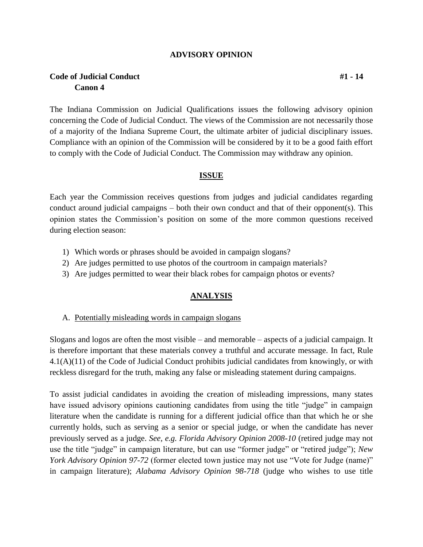#### **ADVISORY OPINION**

# **Code of Judicial Conduct #1 - 14 Canon 4**

The Indiana Commission on Judicial Qualifications issues the following advisory opinion concerning the Code of Judicial Conduct. The views of the Commission are not necessarily those of a majority of the Indiana Supreme Court, the ultimate arbiter of judicial disciplinary issues. Compliance with an opinion of the Commission will be considered by it to be a good faith effort to comply with the Code of Judicial Conduct. The Commission may withdraw any opinion.

#### **ISSUE**

Each year the Commission receives questions from judges and judicial candidates regarding conduct around judicial campaigns – both their own conduct and that of their opponent(s). This opinion states the Commission's position on some of the more common questions received during election season:

- 1) Which words or phrases should be avoided in campaign slogans?
- 2) Are judges permitted to use photos of the courtroom in campaign materials?
- 3) Are judges permitted to wear their black robes for campaign photos or events?

### **ANALYSIS**

A. Potentially misleading words in campaign slogans

Slogans and logos are often the most visible – and memorable – aspects of a judicial campaign. It is therefore important that these materials convey a truthful and accurate message. In fact, Rule 4.1(A)(11) of the Code of Judicial Conduct prohibits judicial candidates from knowingly, or with reckless disregard for the truth, making any false or misleading statement during campaigns.

To assist judicial candidates in avoiding the creation of misleading impressions, many states have issued advisory opinions cautioning candidates from using the title "judge" in campaign literature when the candidate is running for a different judicial office than that which he or she currently holds, such as serving as a senior or special judge, or when the candidate has never previously served as a judge. *See, e.g. Florida Advisory Opinion 2008-10* (retired judge may not use the title "judge" in campaign literature, but can use "former judge" or "retired judge"); *New York Advisory Opinion 97-72* (former elected town justice may not use "Vote for Judge (name)" in campaign literature); *Alabama Advisory Opinion 98-718* (judge who wishes to use title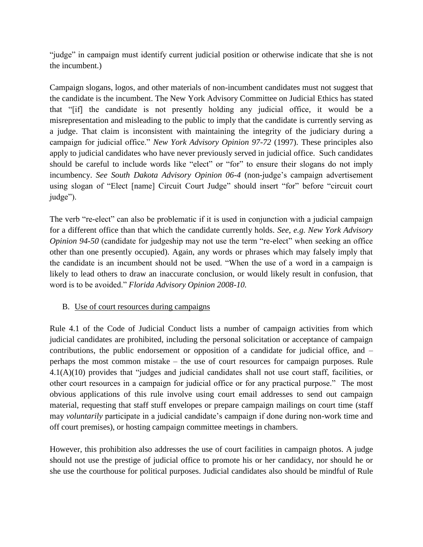"judge" in campaign must identify current judicial position or otherwise indicate that she is not the incumbent.)

Campaign slogans, logos, and other materials of non-incumbent candidates must not suggest that the candidate is the incumbent. The New York Advisory Committee on Judicial Ethics has stated that "[if] the candidate is not presently holding any judicial office, it would be a misrepresentation and misleading to the public to imply that the candidate is currently serving as a judge. That claim is inconsistent with maintaining the integrity of the judiciary during a campaign for judicial office." *New York Advisory Opinion 97-72* (1997). These principles also apply to judicial candidates who have never previously served in judicial office. Such candidates should be careful to include words like "elect" or "for" to ensure their slogans do not imply incumbency. *See South Dakota Advisory Opinion 06-4* (non-judge's campaign advertisement using slogan of "Elect [name] Circuit Court Judge" should insert "for" before "circuit court judge").

The verb "re-elect" can also be problematic if it is used in conjunction with a judicial campaign for a different office than that which the candidate currently holds. *See, e.g. New York Advisory Opinion 94-50* (candidate for judgeship may not use the term "re-elect" when seeking an office other than one presently occupied). Again, any words or phrases which may falsely imply that the candidate is an incumbent should not be used. "When the use of a word in a campaign is likely to lead others to draw an inaccurate conclusion, or would likely result in confusion, that word is to be avoided." *Florida Advisory Opinion 2008-10.*

# B. Use of court resources during campaigns

Rule 4.1 of the Code of Judicial Conduct lists a number of campaign activities from which judicial candidates are prohibited, including the personal solicitation or acceptance of campaign contributions, the public endorsement or opposition of a candidate for judicial office, and – perhaps the most common mistake – the use of court resources for campaign purposes. Rule 4.1(A)(10) provides that "judges and judicial candidates shall not use court staff, facilities, or other court resources in a campaign for judicial office or for any practical purpose." The most obvious applications of this rule involve using court email addresses to send out campaign material, requesting that staff stuff envelopes or prepare campaign mailings on court time (staff may *voluntarily* participate in a judicial candidate's campaign if done during non-work time and off court premises), or hosting campaign committee meetings in chambers.

However, this prohibition also addresses the use of court facilities in campaign photos. A judge should not use the prestige of judicial office to promote his or her candidacy, nor should he or she use the courthouse for political purposes. Judicial candidates also should be mindful of Rule